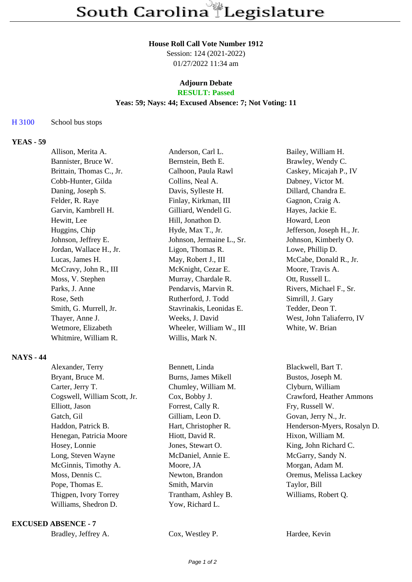#### **House Roll Call Vote Number 1912**

Session: 124 (2021-2022) 01/27/2022 11:34 am

# **Adjourn Debate**

# **RESULT: Passed**

## **Yeas: 59; Nays: 44; Excused Absence: 7; Not Voting: 11**

### H 3100 School bus stops

# **YEAS - 59**

| Allison, Merita A.       | Anderson, Carl L.         | Bailey, William H.        |
|--------------------------|---------------------------|---------------------------|
| Bannister, Bruce W.      | Bernstein, Beth E.        | Brawley, Wendy C.         |
| Brittain, Thomas C., Jr. | Calhoon, Paula Rawl       | Caskey, Micajah P., IV    |
| Cobb-Hunter, Gilda       | Collins, Neal A.          | Dabney, Victor M.         |
| Daning, Joseph S.        | Davis, Sylleste H.        | Dillard, Chandra E.       |
| Felder, R. Raye          | Finlay, Kirkman, III      | Gagnon, Craig A.          |
| Garvin, Kambrell H.      | Gilliard, Wendell G.      | Hayes, Jackie E.          |
| Hewitt, Lee              | Hill, Jonathon D.         | Howard, Leon              |
| Huggins, Chip            | Hyde, Max T., Jr.         | Jefferson, Joseph H., Jr. |
| Johnson, Jeffrey E.      | Johnson, Jermaine L., Sr. | Johnson, Kimberly O.      |
| Jordan, Wallace H., Jr.  | Ligon, Thomas R.          | Lowe, Phillip D.          |
| Lucas, James H.          | May, Robert J., III       | McCabe, Donald R., Jr.    |
| McCravy, John R., III    | McKnight, Cezar E.        | Moore, Travis A.          |
| Moss, V. Stephen         | Murray, Chardale R.       | Ott, Russell L.           |
| Parks, J. Anne           | Pendarvis, Marvin R.      | Rivers, Michael F., Sr.   |
| Rose, Seth               | Rutherford, J. Todd       | Simrill, J. Gary          |
| Smith, G. Murrell, Jr.   | Stavrinakis, Leonidas E.  | Tedder, Deon T.           |
| Thayer, Anne J.          | Weeks, J. David           | West, John Taliaferro, IV |
| Wetmore, Elizabeth       | Wheeler, William W., III  | White, W. Brian           |
| Whitmire, William R.     | Willis, Mark N.           |                           |

### **NAYS - 44**

| Alexander, Terry             | Bennett, Linda       |
|------------------------------|----------------------|
| Bryant, Bruce M.             | Burns, James Mikell  |
| Carter, Jerry T.             | Chumley, William M.  |
| Cogswell, William Scott, Jr. | Cox, Bobby J.        |
| Elliott, Jason               | Forrest, Cally R.    |
| Gatch, Gil                   | Gilliam, Leon D.     |
| Haddon, Patrick B.           | Hart, Christopher R. |
| Henegan, Patricia Moore      | Hiott, David R.      |
| Hosey, Lonnie                | Jones, Stewart O.    |
| Long, Steven Wayne           | McDaniel, Annie E.   |
| McGinnis, Timothy A.         | Moore, JA            |
| Moss, Dennis C.              | Newton, Brandon      |
| Pope, Thomas E.              | Smith, Marvin        |
| Thigpen, Ivory Torrey        | Trantham, Ashley B.  |
| Williams, Shedron D.         | Yow, Richard L.      |
|                              |                      |

#### **EXCUSED ABSENCE - 7**

|  | Bradley, Jeffrey A. |
|--|---------------------|
|--|---------------------|

Cox, Westley P. Hardee, Kevin

Blackwell, Bart T. Bustos, Joseph M. Clyburn, William Crawford, Heather Ammons Fry, Russell W. Govan, Jerry N., Jr. Henderson-Myers, Rosalyn D. Hixon, William M. King, John Richard C. McGarry, Sandy N. Morgan, Adam M. Oremus, Melissa Lackey Taylor, Bill Williams, Robert Q.